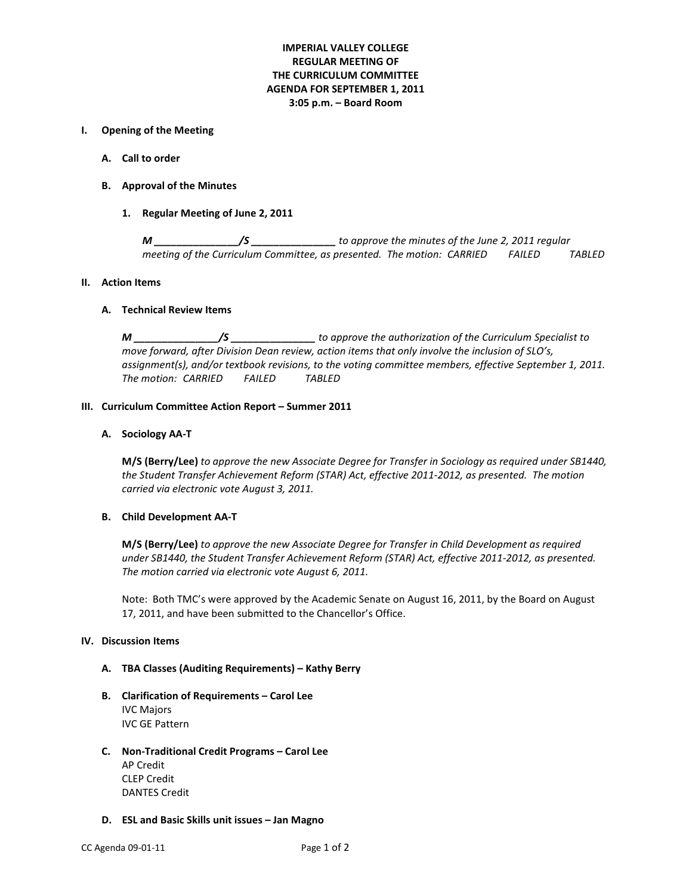## **IMPERIAL VALLEY COLLEGE REGULAR MEETING OF THE CURRICULUM COMMITTEE AGENDA FOR SEPTEMBER 1, 2011 3:05 p.m. – Board Room**

### **I. Opening of the Meeting**

- **A. Call to order**
- **B. Approval of the Minutes**
	- **1. Regular Meeting of June 2, 2011**

*M \_\_\_\_\_\_\_\_\_\_\_\_\_\_\_/S \_\_\_\_\_\_\_\_\_\_\_\_\_\_\_ to approve the minutes of the June 2, 2011 regular meeting of the Curriculum Committee, as presented. The motion: CARRIED FAILED TABLED*

#### **II. Action Items**

#### **A. Technical Review Items**

*M \_\_\_\_\_\_\_\_\_\_\_\_\_\_\_/S \_\_\_\_\_\_\_\_\_\_\_\_\_\_\_ to approve the authorization of the Curriculum Specialist to move forward, after Division Dean review, action items that only involve the inclusion of SLO's, assignment(s), and/or textbook revisions, to the voting committee members, effective September 1, 2011. The motion: CARRIED FAILED TABLED*

#### **III. Curriculum Committee Action Report – Summer 2011**

## **A. Sociology AA-T**

**M/S (Berry/Lee)** *to approve the new Associate Degree for Transfer in Sociology as required under SB1440, the Student Transfer Achievement Reform (STAR) Act, effective 2011-2012, as presented. The motion carried via electronic vote August 3, 2011.*

### **B. Child Development AA-T**

**M/S (Berry/Lee)** *to approve the new Associate Degree for Transfer in Child Development as required under SB1440, the Student Transfer Achievement Reform (STAR) Act, effective 2011-2012, as presented. The motion carried via electronic vote August 6, 2011.*

Note: Both TMC's were approved by the Academic Senate on August 16, 2011, by the Board on August 17, 2011, and have been submitted to the Chancellor's Office.

#### **IV. Discussion Items**

#### **A. TBA Classes (Auditing Requirements) – Kathy Berry**

- **B. Clarification of Requirements – Carol Lee** IVC Majors IVC GE Pattern
- **C. Non-Traditional Credit Programs – Carol Lee** AP Credit CLEP Credit DANTES Credit
- **D. ESL and Basic Skills unit issues – Jan Magno**